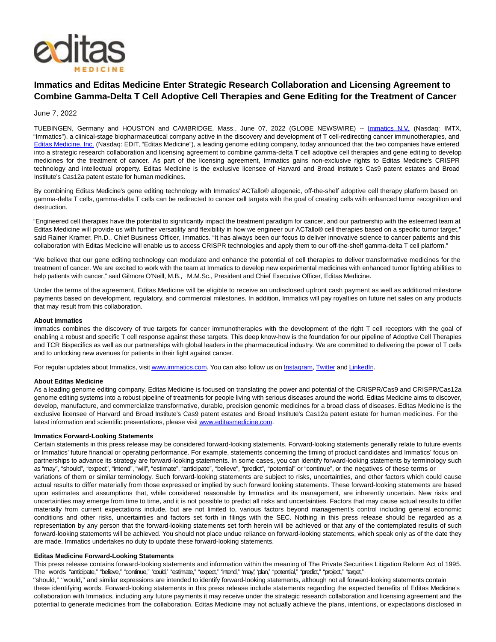

# **Immatics and Editas Medicine Enter Strategic Research Collaboration and Licensing Agreement to Combine Gamma-Delta T Cell Adoptive Cell Therapies and Gene Editing for the Treatment of Cancer**

## June 7, 2022

TUEBINGEN, Germany and HOUSTON and CAMBRIDGE, Mass., June 07, 2022 (GLOBE NEWSWIRE) -- [Immatics N.V.](https://www.globenewswire.com/Tracker?data=MJlgZsOnxAWjdNOhvCLTpycizTa39Whj-_MbQxdXIrA8g5i8Hyvygaso1FzWDfKbHgn9tPfQxhX4EaiVhrfOgA==) (Nasdaq: IMTX, "Immatics"), a clinical-stage biopharmaceutical company active in the discovery and development of T cell-redirecting cancer immunotherapies, and [Editas Medicine, Inc. \(](https://www.globenewswire.com/Tracker?data=6tuJAZ1wouKxovptBEaYAwZkXUAY6XY-Dn8CTW0lEXF2ffFzSfNJbf8gyNt4ecjMAtHbaq4S9D_5u8vFb_nFxChrzN50JVxubzvmn0-GWnw=)Nasdaq: EDIT, "Editas Medicine"), a leading genome editing company, today announced that the two companies have entered into a strategic research collaboration and licensing agreement to combine gamma-delta T cell adoptive cell therapies and gene editing to develop medicines for the treatment of cancer. As part of the licensing agreement, Immatics gains non-exclusive rights to Editas Medicine's CRISPR technology and intellectual property. Editas Medicine is the exclusive licensee of Harvard and Broad Institute's Cas9 patent estates and Broad Institute's Cas12a patent estate for human medicines.

By combining Editas Medicine's gene editing technology with Immatics' ACTallo® allogeneic, off-the-shelf adoptive cell therapy platform based on gamma-delta T cells, gamma-delta T cells can be redirected to cancer cell targets with the goal of creating cells with enhanced tumor recognition and destruction.

"Engineered cell therapies have the potential to significantly impact the treatment paradigm for cancer, and our partnership with the esteemed team at Editas Medicine will provide us with further versatility and flexibility in how we engineer our ACTallo® cell therapies based on a specific tumor target," said Rainer Kramer, Ph.D., Chief Business Officer, Immatics. "It has always been our focus to deliver innovative science to cancer patients and this collaboration with Editas Medicine will enable us to access CRISPR technologies and apply them to our off-the-shelf gamma-delta T cell platform."

"We believe that our gene editing technology can modulate and enhance the potential of cell therapies to deliver transformative medicines for the treatment of cancer. We are excited to work with the team at Immatics to develop new experimental medicines with enhanced tumor fighting abilities to help patients with cancer," said Gilmore O'Neill, M.B., M.M.Sc., President and Chief Executive Officer, Editas Medicine.

Under the terms of the agreement, Editas Medicine will be eligible to receive an undisclosed upfront cash payment as well as additional milestone payments based on development, regulatory, and commercial milestones. In addition, Immatics will pay royalties on future net sales on any products that may result from this collaboration.

#### **About Immatics**

Immatics combines the discovery of true targets for cancer immunotherapies with the development of the right T cell receptors with the goal of enabling a robust and specific T cell response against these targets. This deep know-how is the foundation for our pipeline of Adoptive Cell Therapies and TCR Bispecifics as well as our partnerships with global leaders in the pharmaceutical industry. We are committed to delivering the power of T cells and to unlocking new avenues for patients in their fight against cancer.

For regular updates about Immatics, visi[t www.immatics.com.](https://www.globenewswire.com/Tracker?data=eV01cVIRL70z6896Bowk-Dtvl82KhU6j8Xs6UGGMiuHWTEQhDki8aftB_aE88j0BgV64Uwv5lsDq2X35ZYiFQg==) You can also follow us o[n Instagram,](https://www.globenewswire.com/Tracker?data=iYl5uIh-rv0yHByxn_tgDSu_HbcEOCHitcXrHXY1avLnlKRad3S_touc40Osvo9wMpthwh9fzdJKepNIlSN3AdFkg1w3Fdy9nb3VpgKhdP4=) [Twitter a](https://www.globenewswire.com/Tracker?data=6WZvw9_hIsXznVq5uT2tBsxETrjpGthGVdj7HmMgiyBq2ZUvUkR1cVui6mODVS4ZBh4bQSmyK89YQtw6Cb9-gQ==)n[d LinkedIn.](https://www.globenewswire.com/Tracker?data=oz_N5H_3kAG67_yt4DFv34v3KvtUB0N1bEh1Rha6EBSzuRrkq3juZ45JBDfh8THtIDJSD2otoow6pkUjC_lz8293O3agHuPP5q8qhsJyik6YDmhg6TJyrVzLedQkibtG)

#### **About Editas Medicine**

As a leading genome editing company, Editas Medicine is focused on translating the power and potential of the CRISPR/Cas9 and CRISPR/Cas12a genome editing systems into a robust pipeline of treatments for people living with serious diseases around the world. Editas Medicine aims to discover, develop, manufacture, and commercialize transformative, durable, precision genomic medicines for a broad class of diseases. Editas Medicine is the exclusive licensee of Harvard and Broad Institute's Cas9 patent estates and Broad Institute's Cas12a patent estate for human medicines. For the latest information and scientific presentations, please visi[t www.editasmedicine.com.](https://www.globenewswire.com/Tracker?data=XHcMI6ayYSY4AYNQd4VTMkUoO1aGh4lAyPoGtQt4i-VIunlk49olMroXPcHKRdzXhPa4XWhxHddd8sjUfa_CHSwdGIRTbc6mlV5DVNNFC04=)

#### **Immatics Forward-Looking Statements**

Certain statements in this press release may be considered forward-looking statements. Forward-looking statements generally relate to future events or Immatics' future financial or operating performance. For example, statements concerning the timing of product candidates and Immatics' focus on partnerships to advance its strategy are forward-looking statements. In some cases, you can identify forward-looking statements by terminology such as "may", "should", "expect", "intend", "will", "estimate", "anticipate", "believe", "predict", "potential" or "continue", or the negatives of these terms or variations of them or similar terminology. Such forward-looking statements are subject to risks, uncertainties, and other factors which could cause actual results to differ materially from those expressed or implied by such forward looking statements. These forward-looking statements are based upon estimates and assumptions that, while considered reasonable by Immatics and its management, are inherently uncertain. New risks and uncertainties may emerge from time to time, and it is not possible to predict all risks and uncertainties. Factors that may cause actual results to differ materially from current expectations include, but are not limited to, various factors beyond management's control including general economic conditions and other risks, uncertainties and factors set forth in filings with the SEC. Nothing in this press release should be regarded as a representation by any person that the forward-looking statements set forth herein will be achieved or that any of the contemplated results of such forward-looking statements will be achieved. You should not place undue reliance on forward-looking statements, which speak only as of the date they are made. Immatics undertakes no duty to update these forward-looking statements.

### **Editas Medicine Forward-Looking Statements**

This press release contains forward-looking statements and information within the meaning of The Private Securities Litigation Reform Act of 1995. The words "anticipate," "believe," "continue," "could," "estimate," "expect," "intend," "may,' "plan," "protintal," "predict," "project," "target,"

''should,'' ''would,'' and similar expressions are intended to identify forward-looking statements, although not all forward-looking statements contain these identifying words. Forward-looking statements in this press release include statements regarding the expected benefits of Editas Medicine's collaboration with Immatics, including any future payments it may receive under the strategic research collaboration and licensing agreement and the potential to generate medicines from the collaboration. Editas Medicine may not actually achieve the plans, intentions, or expectations disclosed in